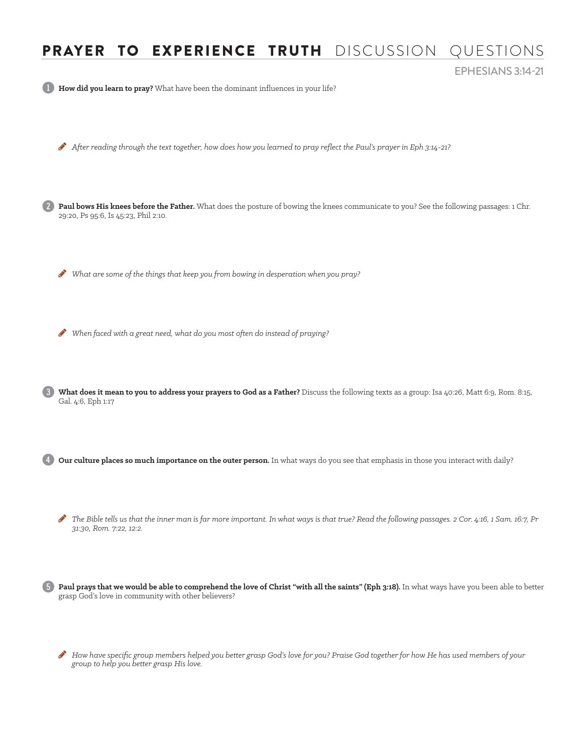## PRAYER TO EXPERIENCE TRUTH DISCUSSION QUESTIONS

EPHESIANS 3:14-21

1 **How did you learn to pray?** What have been the dominant influences in your life?

After reading through the text together, how does how you learned to pray reflect the Paul's prayer in Eph 3:14-21?

Paul bows His knees before the Father. What does the posture of bowing the knees communicate to you? See the following passages: 1 Chr. 29:20, Ps 95:6, Is 45:23, Phil 2:10.

 $\bullet$  What are some of the things that keep you from bowing in desperation when you pray?

When faced with a great need, what do you most often do instead of praying?

3 **What does it mean to you to address your prayers to God as a Father?** Discuss the following texts as a group: Isa 40:26, Matt 6:9, Rom. 8:15, Gal. 4:6, Eph 1:17

Our culture places so much importance on the outer person. In what ways do you see that emphasis in those you interact with daily?

The Bible tells us that the inner man is far more important. In what ways is that true? Read the following passages. 2 Cor. 4:16, 1 Sam. 16:7, Pr *31:30, Rom. 7:22, 12:2.*

5 **Paul prays that we would be able to comprehend the love of Christ "with all the saints" (Eph 3:18).** In what ways have you been able to better grasp God's love in community with other believers?

H *How have specific group members helped you better grasp God's love for you? Praise God together for how He has used members of your group to help you better grasp His love.*